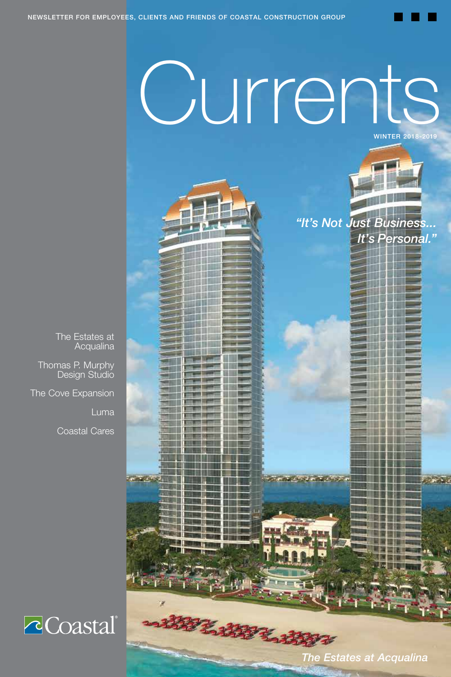**15 ISBN TTTTT** 111 **THE REAL The All** 

# Ourrents WINTER 2018- 2019



*It's Personal."*

m

The Estates at Acqualina Thomas P. Murphy Design Studio

The Cove Expansion

Luma

Coastal Cares



*The Estates at Acqualina*

n Ħ

n 11 M

*CASAR CASA* 

LIBELIA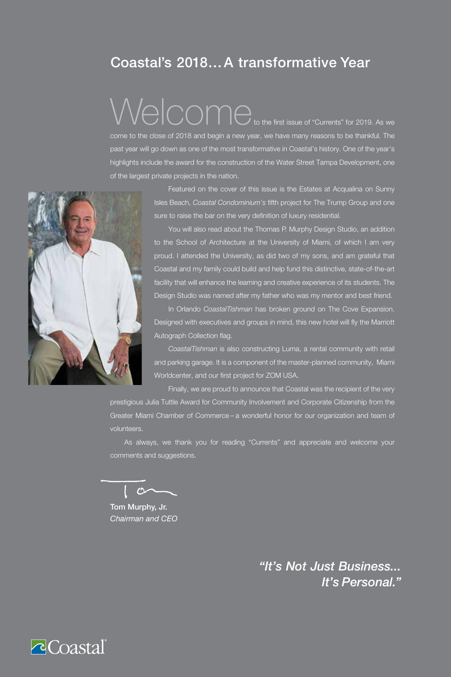## Coastal's 2018…A transformative Year

## Welcome to the first issue of "Currents" for 2019. As we come to the close of 2018 and begin a new year, we have many reasons to be thankful. The

past year will go down as one of the most transformative in Coastal's history. One of the year's highlights include the award for the construction of the Water Street Tampa Development, one of the largest private projects in the nation.



Featured on the cover of this issue is the Estates at Acqualina on Sunny Isles Beach, *Coastal Condominium's* fifth project for The Trump Group and one sure to raise the bar on the very definition of luxury residential.

You will also read about the Thomas P. Murphy Design Studio, an addition to the School of Architecture at the University of Miami, of which I am very proud. I attended the University, as did two of my sons, and am grateful that Coastal and my family could build and help fund this distinctive, state-of-the-art facility that will enhance the learning and creative experience of its students. The Design Studio was named after my father who was my mentor and best friend.

In Orlando *CoastalTishman* has broken ground on The Cove Expansion. Designed with executives and groups in mind, this new hotel will fly the Marriott Autograph Collection flag.

*CoastalTishman* is also constructing Luma, a rental community with retail and parking garage. It is a component of the master-planned community, Miami Worldcenter, and our first project for ZOM USA.

Finally, we are proud to announce that Coastal was the recipient of the very prestigious Julia Tuttle Award for Community Involvement and Corporate Citizenship from the Greater Miami Chamber of Commerce – a wonderful honor for our organization and team of volunteers.

As always, we thank you for reading "Currents" and appreciate and welcome your comments and suggestions.

 $\mathcal{L}$ 

Tom Murphy, Jr. *Chairman and CEO*

*"It's Not Just Business... It's Personal."*

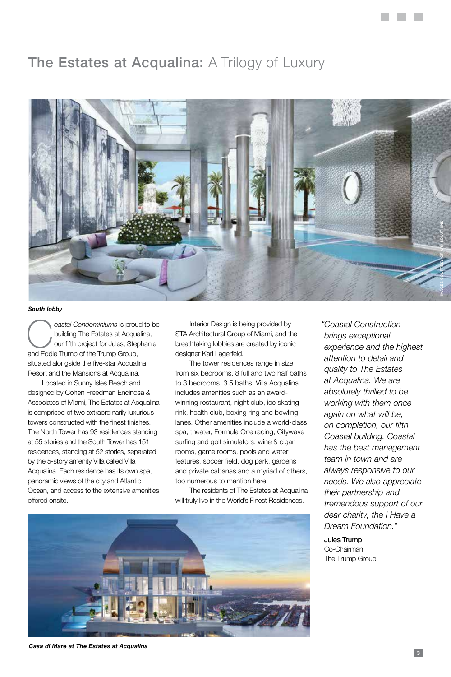## **The Estates at Acqualina: A Trilogy of Luxury**



#### *South lobby*

**Coastal Condominiums** is proud to be<br>building The Estates at Acqualina,<br>and Eddie Trump of the Trump Group building The Estates at Acqualina, our fifth project for Jules, Stephanie and Eddie Trump of the Trump Group, situated alongside the five-star Acqualina Resort and the Mansions at Acqualina.

Located in Sunny Isles Beach and designed by Cohen Freedman Encinosa & Associates of Miami, The Estates at Acqualina is comprised of two extraordinarily luxurious towers constructed with the finest finishes. The North Tower has 93 residences standing at 55 stories and the South Tower has 151 residences, standing at 52 stories, separated by the 5-story amenity Villa called Villa Acqualina. Each residence has its own spa, panoramic views of the city and Atlantic Ocean, and access to the extensive amenities offered onsite.

Interior Design is being provided by STA Architectural Group of Miami, and the breathtaking lobbies are created by iconic designer Karl Lagerfeld.

The tower residences range in size from six bedrooms, 8 full and two half baths to 3 bedrooms, 3.5 baths. Villa Acqualina includes amenities such as an awardwinning restaurant, night club, ice skating rink, health club, boxing ring and bowling lanes. Other amenities include a world-class spa, theater, Formula One racing, Citywave surfing and golf simulators, wine & cigar rooms, game rooms, pools and water features, soccer field, dog park, gardens and private cabanas and a myriad of others, too numerous to mention here.

The residents of The Estates at Acqualina will truly live in the World's Finest Residences.



*"Coastal Construction brings exceptional experience and the highest attention to detail and quality to The Estates at Acqualina. We are absolutely thrilled to be working with them once again on what will be, on completion, our fifth Coastal building. Coastal has the best management team in town and are always responsive to our needs. We also appreciate their partnership and tremendous support of our dear charity, the I Have a Dream Foundation."*

 Jules Trump Co-Chairman The Trump Group

*Casa di Mare at The Estates at Acqualina*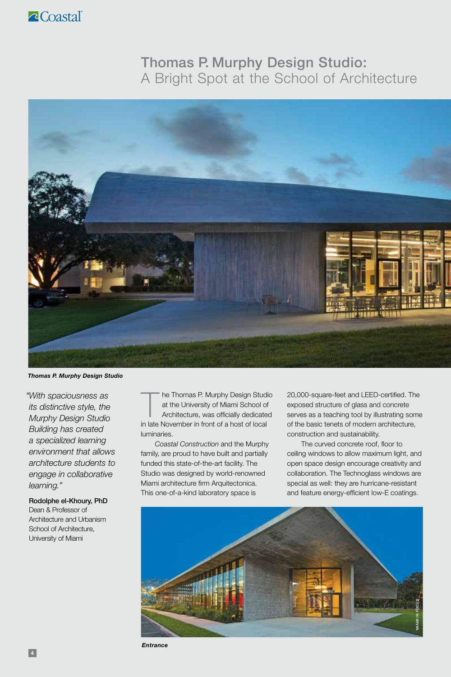## Thomas P. Murphy Design Studio: A Bright Spot at the School of Architecture



*Thomas P. Murphy Design Studio*

*"With spaciousness as its distinctive style, the Murphy Design Studio Building has created a specialized learning environment that allows architecture students to engage in collaborative learning."*

 Rodolphe el-Khoury, PhD Dean & Professor of Architecture and Urbanism School of Architecture, University of Miami

The Thomas P. Murphy Design Studio<br>
at the University of Miami School of<br>
Architecture, was officially dedicated<br>
in the Nauguska in fast of a both of land at the University of Miami School of in late November in front of a host of local luminaries.

*Coastal Construction* and the Murphy family, are proud to have built and partially funded this state-of-the-art facility. The Studio was designed by world-renowned Miami architecture firm Arquitectonica. This one-of-a-kind laboratory space is

20,000-square-feet and LEED-certified. The exposed structure of glass and concrete serves as a teaching tool by illustrating some of the basic tenets of modern architecture, construction and sustainability.

The curved concrete roof, floor to ceiling windows to allow maximum light, and open space design encourage creativity and collaboration. The Technoglass windows are special as well: they are hurricane-resistant and feature energy-efficient low-E coatings.



*Entrance*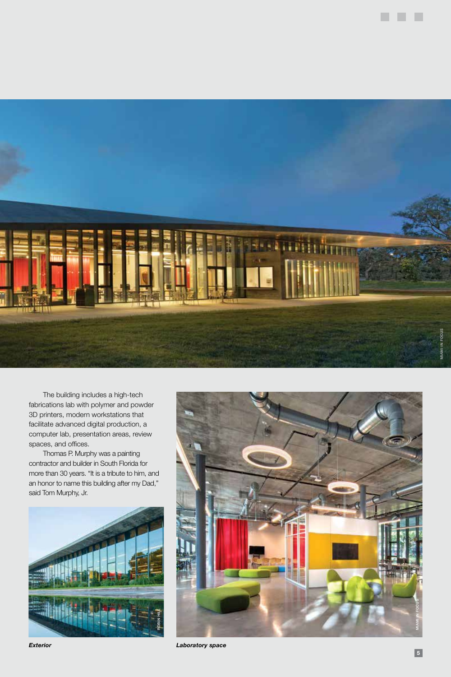

The building includes a high-tech fabrications lab with polymer and powder 3D printers, modern workstations that facilitate advanced digital production, a computer lab, presentation areas, review spaces, and offices.

Thomas P. Murphy was a painting contractor and builder in South Florida for more than 30 years. "It is a tribute to him, and an honor to name this building after my Dad," said Tom Murphy, Jr.





*Exterior Laboratory space*

. . .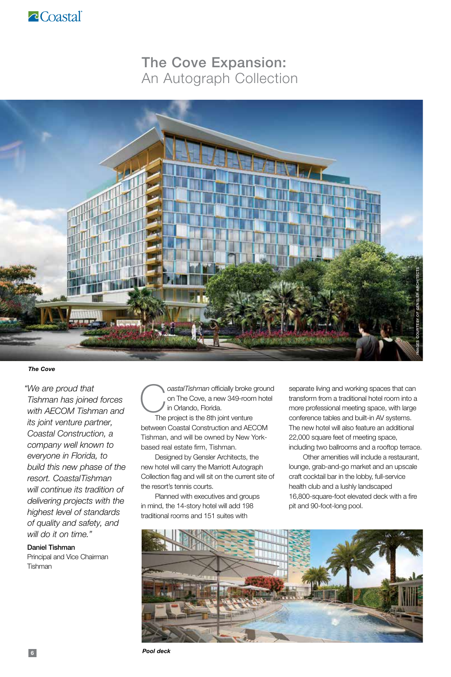

## The Cove Expansion: An Autograph Collection



*The Cove*

*"We are proud that Tishman has joined forces with AECOM Tishman and its joint venture partner, Coastal Construction, a company well known to everyone in Florida, to build this new phase of the resort. CoastalTishman will continue its tradition of delivering projects with the highest level of standards of quality and safety, and will do it on time."*

 Daniel Tishman Principal and Vice Chairman

**Tishman** 

C*oastalTishman* officially broke ground on The Cove, a new 349-room hotel in Orlando, Florida.

The project is the 8th joint venture between Coastal Construction and AECOM Tishman, and will be owned by New Yorkbased real estate firm, Tishman.

Designed by Gensler Architects, the new hotel will carry the Marriott Autograph Collection flag and will sit on the current site of the resort's tennis courts.

Planned with executives and groups in mind, the 14-story hotel will add 198 traditional rooms and 151 suites with

separate living and working spaces that can transform from a traditional hotel room into a more professional meeting space, with large conference tables and built-in AV systems. The new hotel will also feature an additional 22,000 square feet of meeting space, including two ballrooms and a rooftop terrace.

Other amenities will include a restaurant, lounge, grab-and-go market and an upscale craft cocktail bar in the lobby, full-service health club and a lushly landscaped 16,800-square-foot elevated deck with a fire pit and 90-foot-long pool.

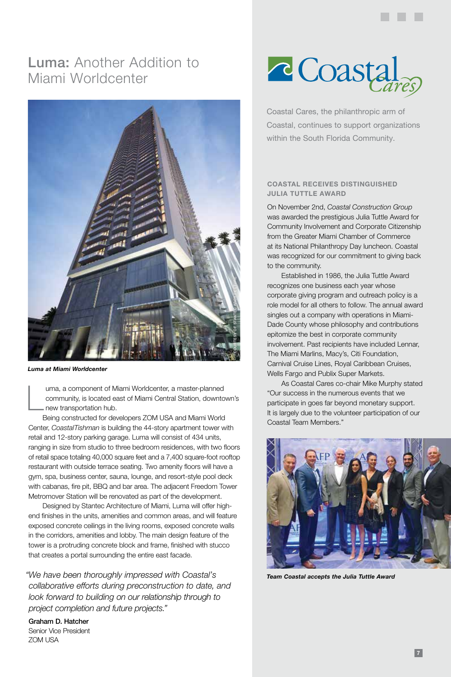## Luma: Another Addition to Miami Worldcenter



*Luma at Miami Worldcenter*

L uma, a component of Miami Worldcenter, a master-planned community, is located east of Miami Central Station, downtown's new transportation hub.

Being constructed for developers ZOM USA and Miami World Center, *CoastalTishman* is building the 44-story apartment tower with retail and 12-story parking garage. Luma will consist of 434 units, ranging in size from studio to three bedroom residences, with two floors of retail space totaling 40,000 square feet and a 7,400 square-foot rooftop restaurant with outside terrace seating. Two amenity floors will have a gym, spa, business center, sauna, lounge, and resort-style pool deck with cabanas, fire pit, BBQ and bar area. The adjacent Freedom Tower Metromover Station will be renovated as part of the development.

Designed by Stantec Architecture of Miami, Luma will offer highend finishes in the units, amenities and common areas, and will feature exposed concrete ceilings in the living rooms, exposed concrete walls in the corridors, amenities and lobby. The main design feature of the tower is a protruding concrete block and frame, finished with stucco that creates a portal surrounding the entire east facade.

*"We have been thoroughly impressed with Coastal's collaborative efforts during preconstruction to date, and look forward to building on our relationship through to project completion and future projects."*

 Graham D. Hatcher Senior Vice President ZOM USA



Coastal Cares, the philanthropic arm of Coastal, continues to support organizations within the South Florida Community.

#### **COASTAL RECEIVES DISTINGUISHED JULIA TUTTLE AWARD**

On November 2nd, *Coastal Construction Group* was awarded the prestigious Julia Tuttle Award for Community Involvement and Corporate Citizenship from the Greater Miami Chamber of Commerce at its National Philanthropy Day luncheon. Coastal was recognized for our commitment to giving back to the community.

Established in 1986, the Julia Tuttle Award recognizes one business each year whose corporate giving program and outreach policy is a role model for all others to follow. The annual award singles out a company with operations in Miami-Dade County whose philosophy and contributions epitomize the best in corporate community involvement. Past recipients have included Lennar, The Miami Marlins, Macy's, Citi Foundation, Carnival Cruise Lines, Royal Caribbean Cruises, Wells Fargo and Publix Super Markets.

As Coastal Cares co-chair Mike Murphy stated "Our success in the numerous events that we participate in goes far beyond monetary support. It is largely due to the volunteer participation of our Coastal Team Members."



*Team Coastal accepts the Julia Tuttle Award*